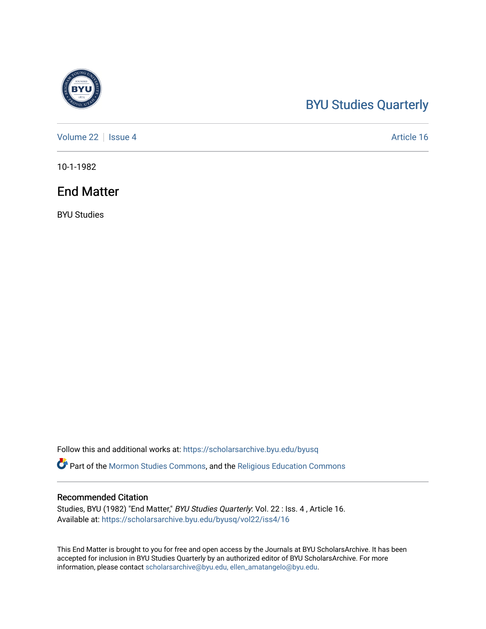## [BYU Studies Quarterly](https://scholarsarchive.byu.edu/byusq)

[Volume 22](https://scholarsarchive.byu.edu/byusq/vol22) | [Issue 4](https://scholarsarchive.byu.edu/byusq/vol22/iss4) Article 16

10-1-1982

## End Matter

BYU Studies

Follow this and additional works at: [https://scholarsarchive.byu.edu/byusq](https://scholarsarchive.byu.edu/byusq?utm_source=scholarsarchive.byu.edu%2Fbyusq%2Fvol22%2Fiss4%2F16&utm_medium=PDF&utm_campaign=PDFCoverPages) 

**Part of the [Mormon Studies Commons](http://network.bepress.com/hgg/discipline/1360?utm_source=scholarsarchive.byu.edu%2Fbyusq%2Fvol22%2Fiss4%2F16&utm_medium=PDF&utm_campaign=PDFCoverPages), and the Religious Education Commons** 

## Recommended Citation

Studies, BYU (1982) "End Matter," BYU Studies Quarterly: Vol. 22 : Iss. 4 , Article 16. Available at: [https://scholarsarchive.byu.edu/byusq/vol22/iss4/16](https://scholarsarchive.byu.edu/byusq/vol22/iss4/16?utm_source=scholarsarchive.byu.edu%2Fbyusq%2Fvol22%2Fiss4%2F16&utm_medium=PDF&utm_campaign=PDFCoverPages) 

This End Matter is brought to you for free and open access by the Journals at BYU ScholarsArchive. It has been accepted for inclusion in BYU Studies Quarterly by an authorized editor of BYU ScholarsArchive. For more information, please contact [scholarsarchive@byu.edu, ellen\\_amatangelo@byu.edu.](mailto:scholarsarchive@byu.edu,%20ellen_amatangelo@byu.edu)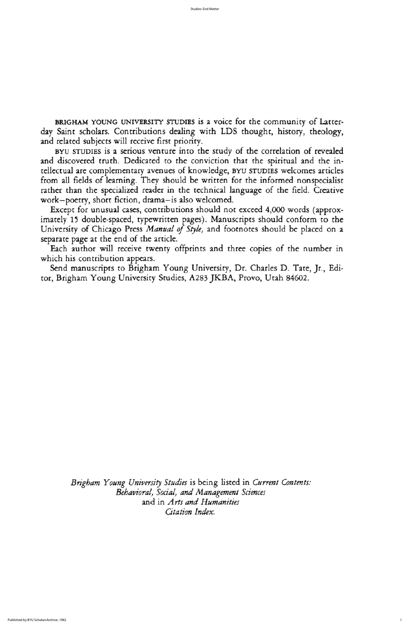BYU STUDIES is a serious venture into the study of the correlation of revealed and discovered truth. Dedicated to the conviction that the spiritual and the intellectual are complementary avenues of knowledge, BYU STUDIES welcomes articles from all fields of learning. They should be written for the informed nonspecialist rather than the specialized reader in the technical language of the field. Creative work-poetry, short fiction, drama-is also welcomed.

Except for unusual cases, contributions should not exceed 4,000 words (approximately 15 double-spaced, typewritten pages). Manuscripts should conform to the University of Chicago Press Manual of Style, and footnotes should be placed on a separate page at the end of the article.

Each author will receive twenty offprints and three copies of the number in which his contribution appears.

Send manuscripts to Brigham Young University, Dr. Charles D. Tate, Jr., Editor, Brigham Young University Studies, A283 JKBA, Provo, Utah 84602.

Brigham Young University Studies is being listed in Current Contents: Behavioral, Social, and Management Sciences and in Arts and Humanities Citation Index.

Studies: End Matter

BRIGHAM YOUNG UNIVERSITY STUDIES is a voice for the community of Latterday Saint scholars. Contributions dealing with LDS thought, history, theology, and related subjects will receive first priority.